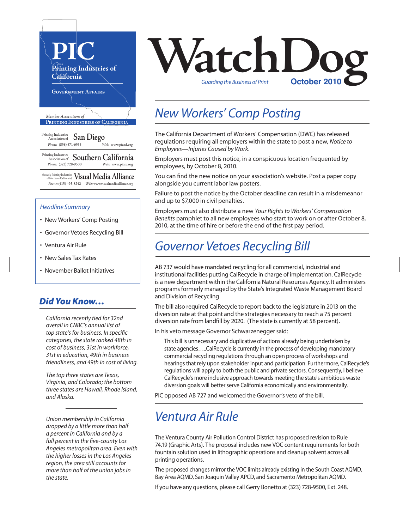

(formerly Printing Industries of Northern California) **VisualMedia Alliance**  *Phone:* (415) 495-8242 *Web:* www.visualmediaalliance.org

#### *Headline Summary*

- New Workers' Comp Posting
- Governor Vetoes Recycling Bill
- Ventura Air Rule
- New Sales Tax Rates
- November Ballot Initiatives

## *Did You Know…*

*California recently tied for 32nd overall in CNBC's annual list of top state's for business. In specific categories, the state ranked 48th in cost of business, 31st in workforce, 31st in education, 49th in business friendliness, and 49th in cost of living.* 

*The top three states are Texas, Virginia, and Colorado; the bottom three states are Hawaii, Rhode Island, and Alaska.* 

*Union membership in California dropped by a little more than half a percent in California and by a full percent in the five-county Los Angeles metropolitan area. Even with the higher losses in the Los Angeles region, the area still accounts for more than half of the union jobs in the state.*



# *New Workers' Comp Posting*

The California Department of Workers' Compensation (DWC) has released regulations requiring all employers within the state to post a new, *Notice to Employees—Injuries Caused by Work*.

Employers must post this notice, in a conspicuous location frequented by employees, by October 8, 2010.

You can find the new notice on your association's website. Post a paper copy alongside you current labor law posters.

Failure to post the notice by the October deadline can result in a misdemeanor and up to \$7,000 in civil penalties.

Employers must also distribute a new *Your Rights to Workers' Compensation Benefits* pamphlet to all new employees who start to work on or after October 8, 2010, at the time of hire or before the end of the first pay period.

# *Governor Vetoes Recycling Bill*

AB 737 would have mandated recycling for all commercial, industrial and institutional facilities putting CalRecycle in charge of implementation. CalRecycle is a new department within the California Natural Resources Agency. It administers programs formerly managed by the State's Integrated Waste Management Board and Division of Recycling

The bill also required CalRecycle to report back to the legislature in 2013 on the diversion rate at that point and the strategies necessary to reach a 75 percent diversion rate from landfill by 2020. (The state is currently at 58 percent).

In his veto message Governor Schwarzenegger said:

This bill is unnecessary and duplicative of actions already being undertaken by state agencies…..CalRecycle is currently in the process of developing mandatory commercial recycling regulations through an open process of workshops and hearings that rely upon stakeholder input and participation. Furthermore, CalRecycle's regulations will apply to both the public and private sectors. Consequently, I believe CalRecycle's more inclusive approach towards meeting the state's ambitious waste diversion goals will better serve California economically and environmentally.

PIC opposed AB 727 and welcomed the Governor's veto of the bill.

# *Ventura Air Rule*

The Ventura County Air Pollution Control District has proposed revision to Rule 74.19 (Graphic Arts). The proposal includes new VOC content requirements for both fountain solution used in lithographic operations and cleanup solvent across all printing operations.

The proposed changes mirror the VOC limits already existing in the South Coast AQMD, Bay Area AQMD, San Joaquin Valley APCD, and Sacramento Metropolitan AQMD.

If you have any questions, please call Gerry Bonetto at (323) 728-9500, Ext. 248.